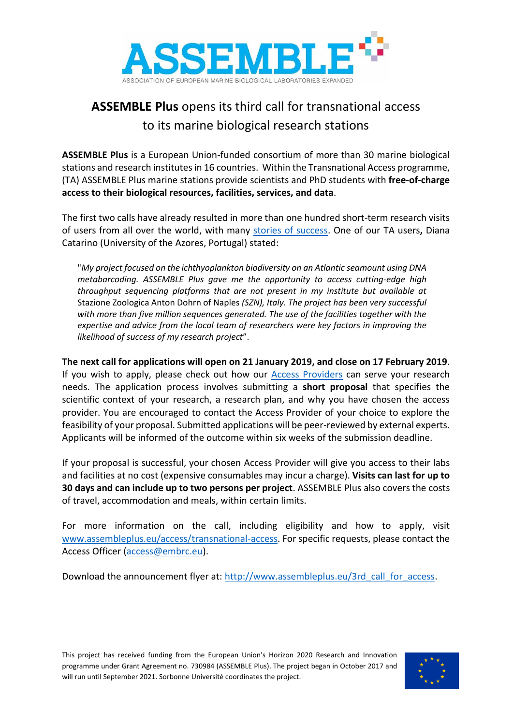

## **ASSEMBLE Plus** opens its third call for transnational access to its marine biological research stations

**ASSEMBLE Plus** is a European Union-funded consortium of more than 30 marine biological stations and research institutes in 16 countries. Within the Transnational Access programme, (TA) ASSEMBLE Plus marine stations provide scientists and PhD students with **free-of-charge access to their biological resources, facilities, services, and data**.

The first two calls have already resulted in more than one hundred short-term research visits of users from all over the world, with many [stories of success.](http://www.assembleplus.eu/access/success-stories) One of our TA users**,** Diana Catarino (University of the Azores, Portugal) stated:

"*My project focused on the ichthyoplankton biodiversity on an Atlantic seamount using DNA metabarcoding. ASSEMBLE Plus gave me the opportunity to access cutting-edge high throughput sequencing platforms that are not present in my institute but available at*  Stazione Zoologica Anton Dohrn of Naples *(SZN), Italy. The project has been very successful with more than five million sequences generated. The use of the facilities together with the expertise and advice from the local team of researchers were key factors in improving the likelihood of success of my research project*".

**The next call for applications will open on 21 January 2019, and close on 17 February 2019**. If you wish to apply, please check out how our [Access Providers](http://www.assembleplus.eu/access/access-providers) can serve your research needs. The application process involves submitting a **short proposal** that specifies the scientific context of your research, a research plan, and why you have chosen the access provider. You are encouraged to contact the Access Provider of your choice to explore the feasibility of your proposal. Submitted applications will be peer-reviewed by external experts. Applicants will be informed of the outcome within six weeks of the submission deadline.

If your proposal is successful, your chosen Access Provider will give you access to their labs and facilities at no cost (expensive consumables may incur a charge). **Visits can last for up to 30 days and can include up to two persons per project**. ASSEMBLE Plus also covers the costs of travel, accommodation and meals, within certain limits.

For more information on the call, including eligibility and how to apply, visit [www.assembleplus.eu/access/transnational-access.](http://www.assembleplus.eu/access/transnational-access) For specific requests, please contact the Access Officer [\(access@embrc.eu\)](mailto:access@embrc.eu).

Download the announcement flyer at: [http://www.assembleplus.eu/3rd\\_call\\_for\\_access.](http://www.assembleplus.eu/3rd_call_for_access)

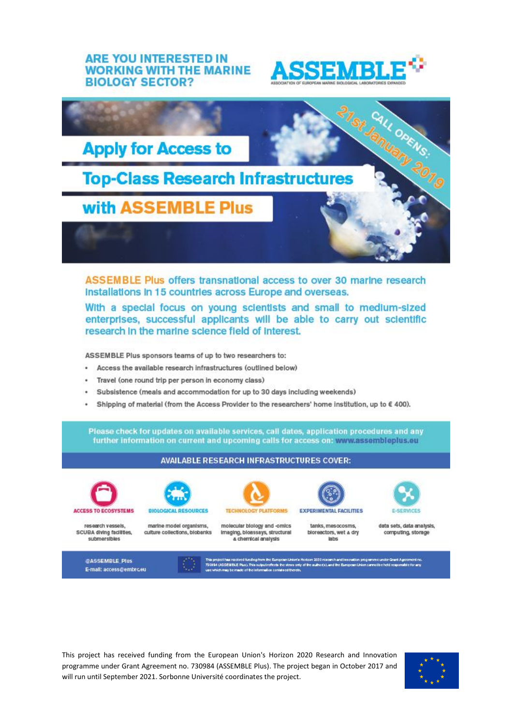## **ARE YOU INTERESTED IN WORKING WITH THE MARINE BIOLOGY SECTOR?**





ASSEMBLE Plus offers transnational access to over 30 marine research Installations in 15 countries across Europe and overseas.

With a special focus on young scientists and small to medium-sized enterprises, successful applicants will be able to carry out scientific research in the marine science field of interest.

ASSEMBLE Plus sponsors teams of up to two researchers to:

- Access the available research infrastructures (outlined below)
- Travel (one round trip per person in economy class)
- Subsistence (meals and accommodation for up to 30 days including weekends)
- Shipping of material (from the Access Provider to the researchers' home institution, up to € 400).

Please check for updates on available services, call dates, application procedures and any further information on current and upcoming calls for access on: www.assembleplus.eu



This project has received funding from the European Union's Horizon 2020 Research and Innovation programme under Grant Agreement no. 730984 (ASSEMBLE Plus). The project began in October 2017 and will run until September 2021. Sorbonne Université coordinates the project.